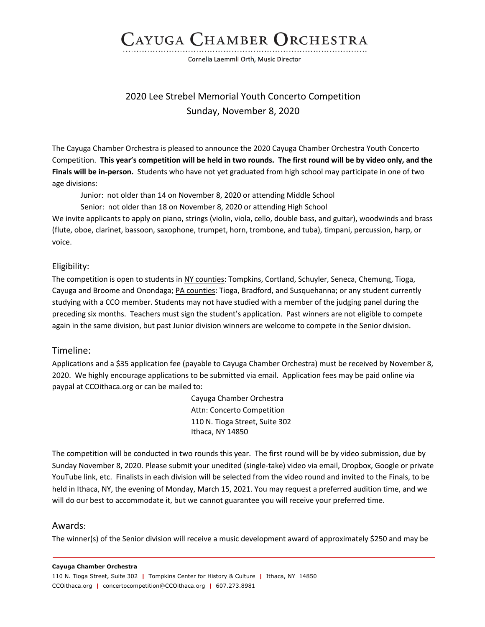## CAYUGA CHAMBER ORCHESTRA

Cornelia Laemmli Orth, Music Director

### 2020 Lee Strebel Memorial Youth Concerto Competition Sunday, November 8, 2020

The Cayuga Chamber Orchestra is pleased to announce the 2020 Cayuga Chamber Orchestra Youth Concerto Competition. **This year's competition will be held in two rounds. The first round will be by video only, and the Finals will be in-person.** Students who have not yet graduated from high school may participate in one of two age divisions:

Junior: not older than 14 on November 8, 2020 or attending Middle School

Senior: not older than 18 on November 8, 2020 or attending High School

We invite applicants to apply on piano, strings (violin, viola, cello, double bass, and guitar), woodwinds and brass (flute, oboe, clarinet, bassoon, saxophone, trumpet, horn, trombone, and tuba), timpani, percussion, harp, or voice.

#### Eligibility:

The competition is open to students in NY counties: Tompkins, Cortland, Schuyler, Seneca, Chemung, Tioga, Cayuga and Broome and Onondaga; PA counties: Tioga, Bradford, and Susquehanna; or any student currently studying with a CCO member. Students may not have studied with a member of the judging panel during the preceding six months. Teachers must sign the student's application. Past winners are not eligible to compete again in the same division, but past Junior division winners are welcome to compete in the Senior division.

#### Timeline:

Applications and a \$35 application fee (payable to Cayuga Chamber Orchestra) must be received by November 8, 2020. We highly encourage applications to be submitted via email. Application fees may be paid online via paypal at CCOithaca.org or can be mailed to:

> Cayuga Chamber Orchestra Attn: Concerto Competition 110 N. Tioga Street, Suite 302 Ithaca, NY 14850

The competition will be conducted in two rounds this year. The first round will be by video submission, due by Sunday November 8, 2020. Please submit your unedited (single-take) video via email, Dropbox, Google or private YouTube link, etc. Finalists in each division will be selected from the video round and invited to the Finals, to be held in Ithaca, NY, the evening of Monday, March 15, 2021. You may request a preferred audition time, and we will do our best to accommodate it, but we cannot guarantee you will receive your preferred time.

#### Awards:

The winner(s) of the Senior division will receive a music development award of approximately \$250 and may be

#### **Cayuga Chamber Orchestra**

110 N. Tioga Street, Suite 302 **|** Tompkins Center for History & Culture **|** Ithaca, NY 14850 CCOithaca.org **|** concertocompetition@CCOithaca.org **|** 607.273.8981